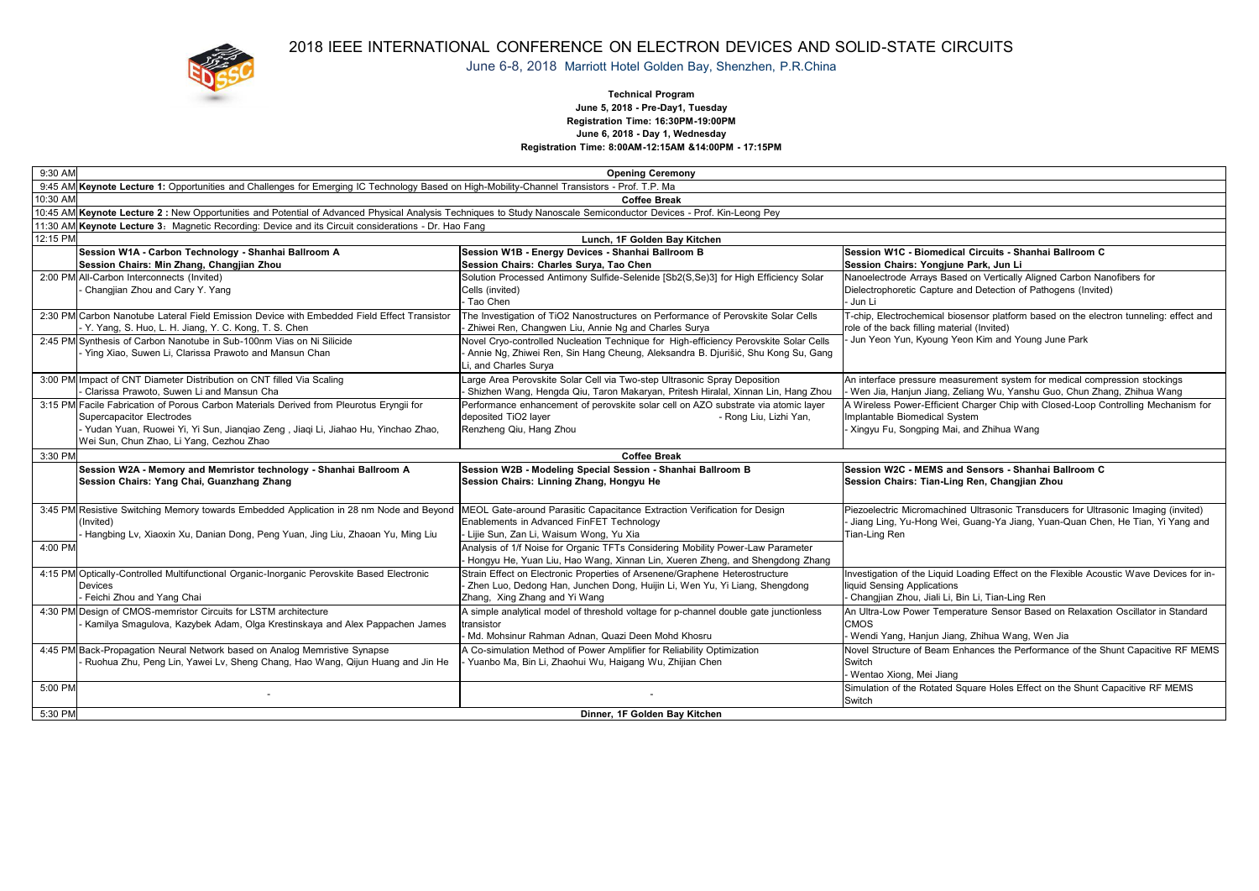

## 2018 IEEE INTERNATIONAL CONFERENCE ON ELECTRON DEVICES AND SOLID-STATE CIRCUITS

June 6-8, 2018 Marriott Hotel Golden Bay, Shenzhen, P.R.China

#### **Technical Program June 5, 2018 - Pre-Day1, Tuesday Registration Time: 16:30PM-19:00PM June 6, 2018 - Day 1, Wednesday Registration Time: 8:00AM-12:15AM &14:00PM - 17:15PM**

| 9:30 AM  | <b>Opening Ceremony</b>                                                                                                                                              |                                                                                                                                                               |                                                                                                                                       |  |  |  |
|----------|----------------------------------------------------------------------------------------------------------------------------------------------------------------------|---------------------------------------------------------------------------------------------------------------------------------------------------------------|---------------------------------------------------------------------------------------------------------------------------------------|--|--|--|
|          | 9:45 AM Keynote Lecture 1: Opportunities and Challenges for Emerging IC Technology Based on High-Mobility-Channel Transistors - Prof. T.P. Ma                        |                                                                                                                                                               |                                                                                                                                       |  |  |  |
| 10:30 AM | <b>Coffee Break</b>                                                                                                                                                  |                                                                                                                                                               |                                                                                                                                       |  |  |  |
|          | 10:45 AM Keynote Lecture 2 : New Opportunities and Potential of Advanced Physical Analysis Techniques to Study Nanoscale Semiconductor Devices - Prof. Kin-Leong Pey |                                                                                                                                                               |                                                                                                                                       |  |  |  |
|          | 11:30 AM Keynote Lecture 3: Magnetic Recording: Device and its Circuit considerations - Dr. Hao Fang                                                                 |                                                                                                                                                               |                                                                                                                                       |  |  |  |
| 12:15 PM | Lunch. 1F Golden Bav Kitchen                                                                                                                                         |                                                                                                                                                               |                                                                                                                                       |  |  |  |
|          | Session W1A - Carbon Technology - Shanhai Ballroom A                                                                                                                 | Session W1B - Energy Devices - Shanhai Ballroom B                                                                                                             | Session W1C - Biomedical Circuits - Shanhai Ballroom C                                                                                |  |  |  |
|          | Session Chairs: Min Zhang, Changjian Zhou                                                                                                                            | Session Chairs: Charles Surya, Tao Chen                                                                                                                       | Session Chairs: Yongjune Park, Jun Li                                                                                                 |  |  |  |
|          | 2:00 PM All-Carbon Interconnects (Invited)                                                                                                                           | Solution Processed Antimony Sulfide-Selenide [Sb2(S,Se)3] for High Efficiency Solar                                                                           | Nanoelectrode Arrays Based on Vertically Aligned Carbon Nanofibers for                                                                |  |  |  |
|          | Changjian Zhou and Cary Y. Yang                                                                                                                                      | Cells (invited)                                                                                                                                               | Dielectrophoretic Capture and Detection of Pathogens (Invited)                                                                        |  |  |  |
|          |                                                                                                                                                                      | Tao Chen                                                                                                                                                      | - Jun Li                                                                                                                              |  |  |  |
|          | 2:30 PM Carbon Nanotube Lateral Field Emission Device with Embedded Field Effect Transistor                                                                          | The Investigation of TiO2 Nanostructures on Performance of Perovskite Solar Cells<br>Zhiwei Ren, Changwen Liu, Annie Ng and Charles Surya                     | T-chip, Electrochemical biosensor platform based on the electron tunneling: effect and<br>role of the back filling material (Invited) |  |  |  |
|          | Y. Yang, S. Huo, L. H. Jiang, Y. C. Kong, T. S. Chen<br>2:45 PM Synthesis of Carbon Nanotube in Sub-100nm Vias on Ni Silicide                                        | Novel Cryo-controlled Nucleation Technique for High-efficiency Perovskite Solar Cells                                                                         | Jun Yeon Yun, Kyoung Yeon Kim and Young June Park                                                                                     |  |  |  |
|          | Ying Xiao, Suwen Li, Clarissa Prawoto and Mansun Chan                                                                                                                | - Annie Ng, Zhiwei Ren, Sin Hang Cheung, Aleksandra B. Djurišić, Shu Kong Su, Gang                                                                            |                                                                                                                                       |  |  |  |
|          |                                                                                                                                                                      | Li, and Charles Surya                                                                                                                                         |                                                                                                                                       |  |  |  |
|          | 3:00 PM Impact of CNT Diameter Distribution on CNT filled Via Scaling                                                                                                | Large Area Perovskite Solar Cell via Two-step Ultrasonic Spray Deposition                                                                                     | An interface pressure measurement system for medical compression stockings                                                            |  |  |  |
|          | Clarissa Prawoto, Suwen Li and Mansun Cha                                                                                                                            | - Shizhen Wang, Hengda Qiu, Taron Makaryan, Pritesh Hiralal, Xinnan Lin, Hang Zhou                                                                            | - Wen Jia, Hanjun Jiang, Zeliang Wu, Yanshu Guo, Chun Zhang, Zhihua Wang                                                              |  |  |  |
|          | 3:15 PM Facile Fabrication of Porous Carbon Materials Derived from Pleurotus Ervngii for                                                                             | Performance enhancement of perovskite solar cell on AZO substrate via atomic laver                                                                            | A Wireless Power-Efficient Charger Chip with Closed-Loop Controlling Mechanism for                                                    |  |  |  |
|          | Supercapacitor Electrodes                                                                                                                                            | deposited TiO2 layer<br>- Rong Liu, Lizhi Yan,                                                                                                                | Implantable Biomedical System                                                                                                         |  |  |  |
|          | Yudan Yuan, Ruowei Yi, Yi Sun, Jiangiao Zeng, Jiagi Li, Jiahao Hu, Yinchao Zhao,                                                                                     | Renzheng Qiu, Hang Zhou                                                                                                                                       | - Xingyu Fu, Songping Mai, and Zhihua Wang                                                                                            |  |  |  |
|          | Wei Sun, Chun Zhao, Li Yang, Cezhou Zhao                                                                                                                             |                                                                                                                                                               |                                                                                                                                       |  |  |  |
| 3:30 PM  |                                                                                                                                                                      | <b>Coffee Break</b>                                                                                                                                           |                                                                                                                                       |  |  |  |
|          | Session W2A - Memory and Memristor technology - Shanhai Ballroom A                                                                                                   | Session W2B - Modeling Special Session - Shanhai Ballroom B                                                                                                   | Session W2C - MEMS and Sensors - Shanhai Ballroom C                                                                                   |  |  |  |
|          | Session Chairs: Yang Chai, Guanzhang Zhang                                                                                                                           | Session Chairs: Linning Zhang, Hongyu He                                                                                                                      | Session Chairs: Tian-Ling Ren, Changjian Zhou                                                                                         |  |  |  |
|          |                                                                                                                                                                      |                                                                                                                                                               |                                                                                                                                       |  |  |  |
|          |                                                                                                                                                                      |                                                                                                                                                               |                                                                                                                                       |  |  |  |
|          | 3:45 PM Resistive Switching Memory towards Embedded Application in 28 nm Node and Beyond                                                                             | MEOL Gate-around Parasitic Capacitance Extraction Verification for Design                                                                                     | Piezoelectric Micromachined Ultrasonic Transducers for Ultrasonic Imaging (invited)                                                   |  |  |  |
|          | Invited)                                                                                                                                                             | Enablements in Advanced FinFET Technology                                                                                                                     | Jiang Ling, Yu-Hong Wei, Guang-Ya Jiang, Yuan-Quan Chen, He Tian, Yi Yang and                                                         |  |  |  |
|          | Hangbing Lv, Xiaoxin Xu, Danian Dong, Peng Yuan, Jing Liu, Zhaoan Yu, Ming Liu                                                                                       | - Lijie Sun, Zan Li, Waisum Wong, Yu Xia                                                                                                                      | Tian-Ling Ren                                                                                                                         |  |  |  |
| 4:00 PM  |                                                                                                                                                                      | Analysis of 1/f Noise for Organic TFTs Considering Mobility Power-Law Parameter                                                                               |                                                                                                                                       |  |  |  |
|          | 4:15 PM Optically-Controlled Multifunctional Organic-Inorganic Perovskite Based Electronic                                                                           | - Hongyu He, Yuan Liu, Hao Wang, Xinnan Lin, Xueren Zheng, and Shengdong Zhang<br>Strain Effect on Electronic Properties of Arsenene/Graphene Heterostructure | Investigation of the Liquid Loading Effect on the Flexible Acoustic Wave Devices for in-                                              |  |  |  |
|          | <b>Devices</b>                                                                                                                                                       | - Zhen Luo, Dedong Han, Junchen Dong, Huijin Li, Wen Yu, Yi Liang, Shengdong                                                                                  | liquid Sensing Applications                                                                                                           |  |  |  |
|          | Feichi Zhou and Yang Chai                                                                                                                                            | Zhang, Xing Zhang and Yi Wang                                                                                                                                 | Changjian Zhou, Jiali Li, Bin Li, Tian-Ling Ren                                                                                       |  |  |  |
|          | 4:30 PM Design of CMOS-memristor Circuits for LSTM architecture                                                                                                      | A simple analytical model of threshold voltage for p-channel double gate junctionless                                                                         | An Ultra-Low Power Temperature Sensor Based on Relaxation Oscillator in Standard                                                      |  |  |  |
|          | Kamilya Smagulova, Kazybek Adam, Olga Krestinskaya and Alex Pappachen James                                                                                          | transistor                                                                                                                                                    | <b>CMOS</b>                                                                                                                           |  |  |  |
|          |                                                                                                                                                                      | Md. Mohsinur Rahman Adnan, Quazi Deen Mohd Khosru                                                                                                             | - Wendi Yang, Hanjun Jiang, Zhihua Wang, Wen Jia                                                                                      |  |  |  |
|          | 4:45 PM Back-Propagation Neural Network based on Analog Memristive Synapse                                                                                           | A Co-simulation Method of Power Amplifier for Reliability Optimization                                                                                        | Novel Structure of Beam Enhances the Performance of the Shunt Capacitive RF MEMS                                                      |  |  |  |
|          | Ruohua Zhu, Peng Lin, Yawei Lv, Sheng Chang, Hao Wang, Qijun Huang and Jin He                                                                                        | Yuanbo Ma, Bin Li, Zhaohui Wu, Haigang Wu, Zhijian Chen                                                                                                       | Switch                                                                                                                                |  |  |  |
|          |                                                                                                                                                                      |                                                                                                                                                               | - Wentao Xiong, Mei Jiang                                                                                                             |  |  |  |
| 5:00 PM  |                                                                                                                                                                      |                                                                                                                                                               | Simulation of the Rotated Square Holes Effect on the Shunt Capacitive RF MEMS                                                         |  |  |  |
| 5:30 PM  |                                                                                                                                                                      | Dinner, 1F Golden Bay Kitchen                                                                                                                                 | Switch                                                                                                                                |  |  |  |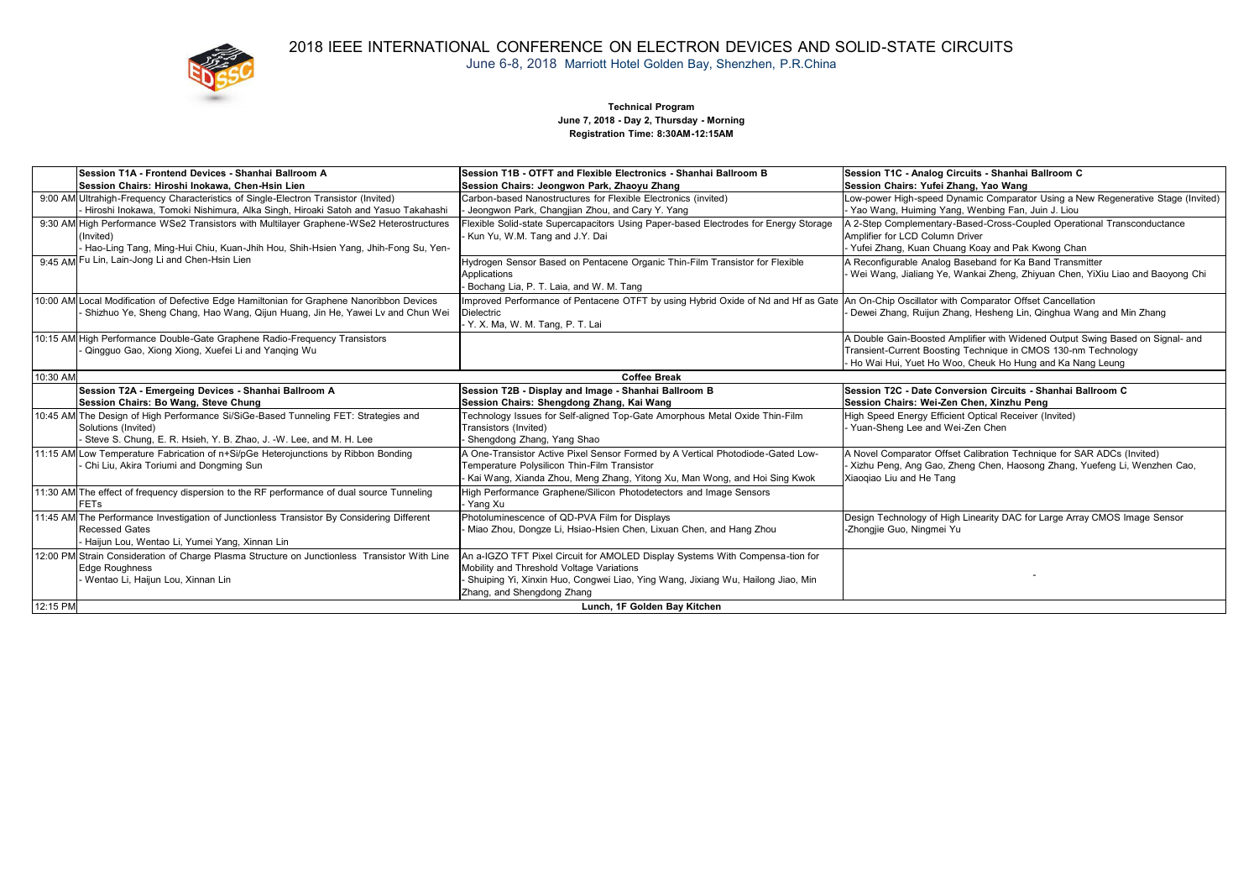

### 2018 IEEE INTERNATIONAL CONFERENCE ON ELECTRON DEVICES AND SOLID-STATE CIRCUITS June 6-8, 2018 Marriott Hotel Golden Bay, Shenzhen, P.R.China

#### **Technical Program June 7, 2018 - Day 2, Thursday - Morning Registration Time: 8:30AM-12:15AM**

| Session T1A - Frontend Devices - Shanhai Ballroom A<br>Session Chairs: Hiroshi Inokawa. Chen-Hsin Lien                                                                                      | Session T1B - OTFT and Flexible Electronics - Shanhai Ballroom B<br>Session Chairs: Jeongwon Park, Zhaovu Zhang                                                                                                                               | Session T1C - Analog Circuits - Shanhai Ballroom C<br>Session Chairs: Yufei Zhang, Yao Wang                                                                                                                  |
|---------------------------------------------------------------------------------------------------------------------------------------------------------------------------------------------|-----------------------------------------------------------------------------------------------------------------------------------------------------------------------------------------------------------------------------------------------|--------------------------------------------------------------------------------------------------------------------------------------------------------------------------------------------------------------|
| 9:00 AM Ultrahigh-Frequency Characteristics of Single-Electron Transistor (Invited)                                                                                                         | Carbon-based Nanostructures for Flexible Electronics (invited)                                                                                                                                                                                | Low-power High-speed Dynamic Comparator Using a New Regenerative Stage (Invited)                                                                                                                             |
| - Hiroshi Inokawa, Tomoki Nishimura, Alka Singh, Hiroaki Satoh and Yasuo Takahashi                                                                                                          | Jeongwon Park, Changjian Zhou, and Cary Y. Yang                                                                                                                                                                                               | Yao Wang, Huiming Yang, Wenbing Fan, Juin J. Liou                                                                                                                                                            |
| 9:30 AM High Performance WSe2 Transistors with Multilayer Graphene-WSe2 Heterostructures<br>(Invited)<br>- Hao-Ling Tang, Ming-Hui Chiu, Kuan-Jhih Hou, Shih-Hsien Yang, Jhih-Fong Su, Yen- | Flexible Solid-state Supercapacitors Using Paper-based Electrodes for Energy Storage<br>Kun Yu, W.M. Tang and J.Y. Dai                                                                                                                        | A 2-Step Complementary-Based-Cross-Coupled Operational Transconductance<br>Amplifier for LCD Column Driver<br>Yufei Zhang, Kuan Chuang Koay and Pak Kwong Chan                                               |
| 9:45 AM Fu Lin, Lain-Jong Li and Chen-Hsin Lien                                                                                                                                             | Hydrogen Sensor Based on Pentacene Organic Thin-Film Transistor for Flexible<br>Applications<br>- Bochang Lia, P. T. Laia, and W. M. Tang                                                                                                     | A Reconfigurable Analog Baseband for Ka Band Transmitter<br>Wei Wang, Jialiang Ye, Wankai Zheng, Zhiyuan Chen, YiXiu Liao and Baoyong Chi                                                                    |
| 10:00 AM Local Modification of Defective Edge Hamiltonian for Graphene Nanoribbon Devices<br>- Shizhuo Ye, Sheng Chang, Hao Wang, Qijun Huang, Jin He, Yawei Lv and Chun Wei                | Improved Performance of Pentacene OTFT by using Hybrid Oxide of Nd and Hf as Gate An On-Chip Oscillator with Comparator Offset Cancellation<br><b>Dielectric</b><br>- Y. X. Ma, W. M. Tang, P. T. Lai                                         | Dewei Zhang, Ruijun Zhang, Hesheng Lin, Qinghua Wang and Min Zhang                                                                                                                                           |
| 10:15 AM High Performance Double-Gate Graphene Radio-Frequency Transistors<br>- Qingquo Gao, Xiong Xiong, Xuefei Li and Yanging Wu                                                          |                                                                                                                                                                                                                                               | A Double Gain-Boosted Amplifier with Widened Output Swing Based on Signal- and<br>Transient-Current Boosting Technique in CMOS 130-nm Technology<br>Ho Wai Hui, Yuet Ho Woo, Cheuk Ho Hung and Ka Nang Leung |
| 10:30 AM                                                                                                                                                                                    | <b>Coffee Break</b>                                                                                                                                                                                                                           |                                                                                                                                                                                                              |
| Session T2A - Emergeing Devices - Shanhai Ballroom A<br>Session Chairs: Bo Wang, Steve Chung                                                                                                | Session T2B - Display and Image - Shanhai Ballroom B<br>Session Chairs: Shengdong Zhang, Kai Wang                                                                                                                                             | Session T2C - Date Conversion Circuits - Shanhai Ballroom C<br>Session Chairs: Wei-Zen Chen, Xinzhu Peng                                                                                                     |
| 10:45 AM The Design of High Performance Si/SiGe-Based Tunneling FET: Strategies and<br>Solutions (Invited)<br>- Steve S. Chung, E. R. Hsieh, Y. B. Zhao, J. -W. Lee, and M. H. Lee          | Technology Issues for Self-aligned Top-Gate Amorphous Metal Oxide Thin-Film<br>Transistors (Invited)<br>- Shengdong Zhang, Yang Shao                                                                                                          | High Speed Energy Efficient Optical Receiver (Invited)<br>Yuan-Sheng Lee and Wei-Zen Chen                                                                                                                    |
| 11:15 AM Low Temperature Fabrication of n+Si/pGe Heterojunctions by Ribbon Bonding<br>- Chi Liu, Akira Toriumi and Dongming Sun                                                             | A One-Transistor Active Pixel Sensor Formed by A Vertical Photodiode-Gated Low-<br>Temperature Polysilicon Thin-Film Transistor<br>- Kai Wang, Xianda Zhou, Meng Zhang, Yitong Xu, Man Wong, and Hoi Sing Kwok                                | A Novel Comparator Offset Calibration Technique for SAR ADCs (Invited)<br>- Xizhu Peng, Ang Gao, Zheng Chen, Haosong Zhang, Yuefeng Li, Wenzhen Cao,<br>Xiaogiao Liu and He Tang                             |
| 11:30 AM The effect of frequency dispersion to the RF performance of dual source Tunneling<br><b>FETs</b>                                                                                   | High Performance Graphene/Silicon Photodetectors and Image Sensors<br>- Yang Xu                                                                                                                                                               |                                                                                                                                                                                                              |
| 11:45 AM The Performance Investigation of Junctionless Transistor By Considering Different<br><b>Recessed Gates</b><br>- Haijun Lou, Wentao Li, Yumei Yang, Xinnan Lin                      | Photoluminescence of QD-PVA Film for Displays<br>- Miao Zhou, Dongze Li, Hsiao-Hsien Chen, Lixuan Chen, and Hang Zhou                                                                                                                         | Design Technology of High Linearity DAC for Large Array CMOS Image Sensor<br>-Zhongjie Guo, Ningmei Yu                                                                                                       |
| 12:00 PM Strain Consideration of Charge Plasma Structure on Junctionless Transistor With Line<br><b>Edge Roughness</b><br>- Wentao Li, Haijun Lou, Xinnan Lin                               | An a-IGZO TFT Pixel Circuit for AMOLED Display Systems With Compensa-tion for<br>Mobility and Threshold Voltage Variations<br>- Shuiping Yi, Xinxin Huo, Congwei Liao, Ying Wang, Jixiang Wu, Hailong Jiao, Min<br>Zhang, and Shengdong Zhang |                                                                                                                                                                                                              |
| 12:15 PM                                                                                                                                                                                    | Lunch, 1F Golden Bay Kitchen                                                                                                                                                                                                                  |                                                                                                                                                                                                              |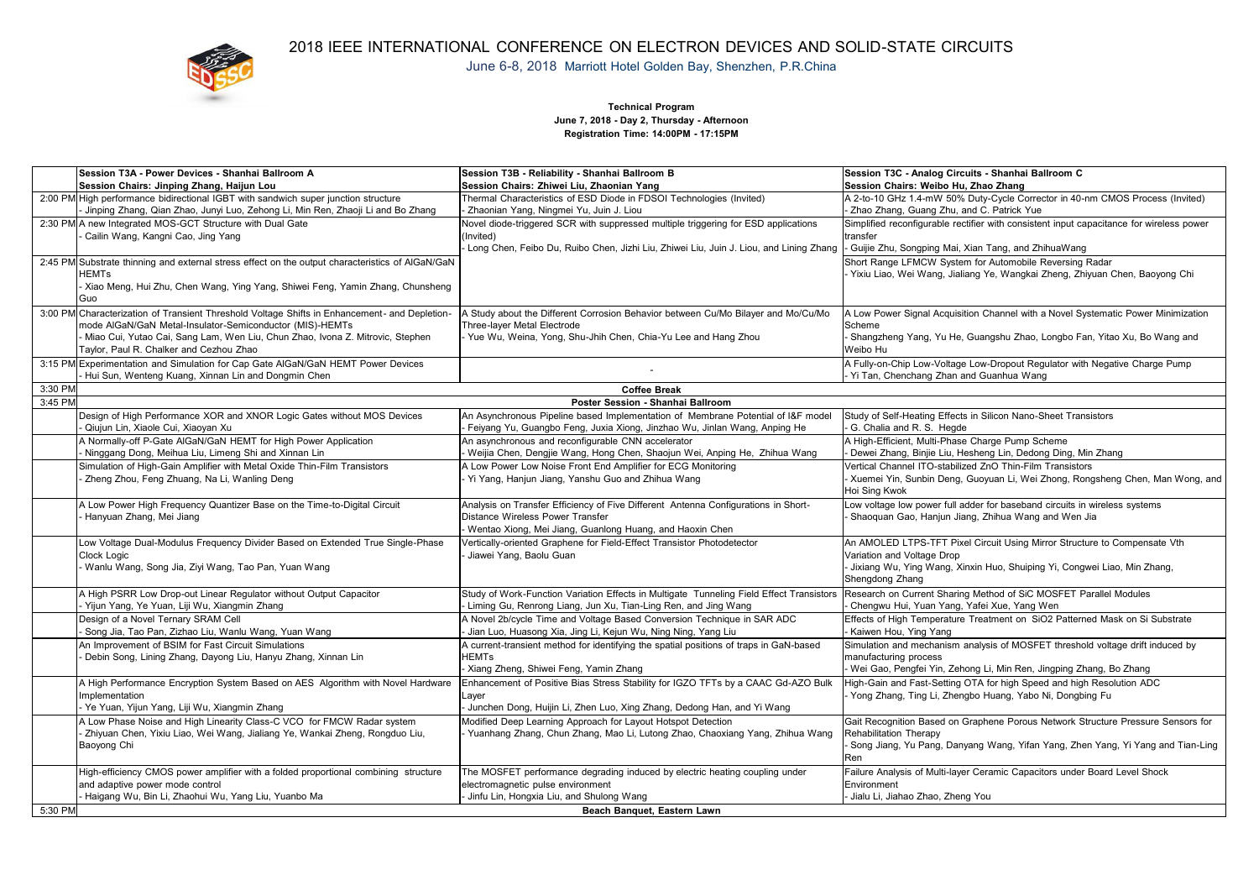

## 2018 IEEE INTERNATIONAL CONFERENCE ON ELECTRON DEVICES AND SOLID-STATE CIRCUITS June 6-8, 2018 Marriott Hotel Golden Bay, Shenzhen, P.R.China

**Technical Program June 7, 2018 - Day 2, Thursday -Afternoon Registration Time: 14:00PM - 17:15PM**

|         | Session T3A - Power Devices - Shanhai Ballroom A                                                                                                          | Session T3B - Reliability - Shanhai Ballroom B                                                                                                                  | Session T3C - Analog Circuits - Shanhai Ballroom C                                                                                     |
|---------|-----------------------------------------------------------------------------------------------------------------------------------------------------------|-----------------------------------------------------------------------------------------------------------------------------------------------------------------|----------------------------------------------------------------------------------------------------------------------------------------|
|         | Session Chairs: Jinping Zhang, Haijun Lou                                                                                                                 | Session Chairs: Zhiwei Liu. Zhaonian Yang                                                                                                                       | Session Chairs: Weibo Hu, Zhao Zhang                                                                                                   |
|         | 2:00 PM High performance bidirectional IGBT with sandwich super junction structure                                                                        | Thermal Characteristics of ESD Diode in FDSOI Technologies (Invited)                                                                                            | A 2-to-10 GHz 1.4-mW 50% Duty-Cycle Corrector in 40-nm CMOS Process (Invited)                                                          |
|         | Jinping Zhang, Qian Zhao, Junyi Luo, Zehong Li, Min Ren, Zhaoji Li and Bo Zhang                                                                           | - Zhaonian Yang, Ningmei Yu, Juin J. Liou                                                                                                                       | - Zhao Zhang, Guang Zhu, and C. Patrick Yue                                                                                            |
|         | 2:30 PM A new Integrated MOS-GCT Structure with Dual Gate<br>Cailin Wang, Kangni Cao, Jing Yang                                                           | Novel diode-triggered SCR with suppressed multiple triggering for ESD applications<br>(Invited)                                                                 | Simplified reconfigurable rectifier with consistent input capacitance for wireless power<br>transfer                                   |
|         |                                                                                                                                                           | Long Chen, Feibo Du, Ruibo Chen, Jizhi Liu, Zhiwei Liu, Juin J. Liou, and Lining Zhang  - Guijie Zhu, Songping Mai, Xian Tang, and ZhihuaWang                   |                                                                                                                                        |
|         | 2:45 PM Substrate thinning and external stress effect on the output characteristics of AlGaN/GaN<br><b>HEMTs</b>                                          |                                                                                                                                                                 | Short Range LFMCW System for Automobile Reversing Radar<br>Yixiu Liao, Wei Wang, Jialiang Ye, Wangkai Zheng, Zhiyuan Chen, Baoyong Chi |
|         | Xiao Meng, Hui Zhu, Chen Wang, Ying Yang, Shiwei Feng, Yamin Zhang, Chunsheng<br>Guo                                                                      |                                                                                                                                                                 |                                                                                                                                        |
|         | 3:00 PM Characterization of Transient Threshold Voltage Shifts in Enhancement- and Depletion-<br>mode AIGaN/GaN Metal-Insulator-Semiconductor (MIS)-HEMTs | A Study about the Different Corrosion Behavior between Cu/Mo Bilayer and Mo/Cu/Mo<br>Three-laver Metal Electrode                                                | A Low Power Signal Acquisition Channel with a Novel Systematic Power Minimization<br>Scheme                                            |
|         | Miao Cui, Yutao Cai, Sang Lam, Wen Liu, Chun Zhao, Ivona Z. Mitrovic, Stephen<br>Tavlor, Paul R. Chalker and Cezhou Zhao                                  | Yue Wu, Weina, Yong, Shu-Jhih Chen, Chia-Yu Lee and Hang Zhou                                                                                                   | Shangzheng Yang, Yu He, Guangshu Zhao, Longbo Fan, Yitao Xu, Bo Wang and<br>Weibo Hu                                                   |
|         | 3:15 PM Experimentation and Simulation for Cap Gate AlGaN/GaN HEMT Power Devices<br>Hui Sun, Wenteng Kuang, Xinnan Lin and Dongmin Chen                   |                                                                                                                                                                 | A Fully-on-Chip Low-Voltage Low-Dropout Regulator with Negative Charge Pump<br>Yi Tan, Chenchang Zhan and Guanhua Wang                 |
| 3:30 PM |                                                                                                                                                           | <b>Coffee Break</b>                                                                                                                                             |                                                                                                                                        |
| 3:45 PM |                                                                                                                                                           | Poster Session - Shanhai Ballroom                                                                                                                               |                                                                                                                                        |
|         | Design of High Performance XOR and XNOR Logic Gates without MOS Devices<br>Qiuiun Lin, Xiaole Cui, Xiaovan Xu                                             | An Asynchronous Pipeline based Implementation of Membrane Potential of I&F model<br>- Feiyang Yu, Guangbo Feng, Juxia Xiong, Jinzhao Wu, Jinlan Wang, Anping He | Study of Self-Heating Effects in Silicon Nano-Sheet Transistors<br>G. Chalia and R. S. Heade                                           |
|         | A Normally-off P-Gate AlGaN/GaN HEMT for High Power Application<br>Ninggang Dong, Meihua Liu, Limeng Shi and Xinnan Lin                                   | An asynchronous and reconfigurable CNN accelerator<br>- Weijia Chen, Dengjie Wang, Hong Chen, Shaojun Wei, Anping He, Zhihua Wang                               | A High-Efficient, Multi-Phase Charge Pump Scheme<br>Dewei Zhang, Binjie Liu, Hesheng Lin, Dedong Ding, Min Zhang                       |
|         | Simulation of High-Gain Amplifier with Metal Oxide Thin-Film Transistors                                                                                  | A Low Power Low Noise Front End Amplifier for ECG Monitoring                                                                                                    | Vertical Channel ITO-stabilized ZnO Thin-Film Transistors                                                                              |
|         | Zheng Zhou, Feng Zhuang, Na Li, Wanling Deng                                                                                                              | Yi Yang, Hanjun Jiang, Yanshu Guo and Zhihua Wang                                                                                                               | Xuemei Yin, Sunbin Deng, Guoyuan Li, Wei Zhong, Rongsheng Chen, Man Wong, and<br>Hoi Sing Kwok                                         |
|         | A Low Power High Frequency Quantizer Base on the Time-to-Digital Circuit<br>Hanyuan Zhang, Mei Jiang                                                      | Analysis on Transfer Efficiency of Five Different Antenna Configurations in Short-<br>Distance Wireless Power Transfer                                          | Low voltage low power full adder for baseband circuits in wireless systems<br>Shaoquan Gao, Hanjun Jiang, Zhihua Wang and Wen Jia      |
|         |                                                                                                                                                           | - Wentao Xiong, Mei Jiang, Guanlong Huang, and Haoxin Chen                                                                                                      |                                                                                                                                        |
|         | Low Voltage Dual-Modulus Frequency Divider Based on Extended True Single-Phase                                                                            | Vertically-oriented Graphene for Field-Effect Transistor Photodetector                                                                                          | An AMOLED LTPS-TFT Pixel Circuit Using Mirror Structure to Compensate Vth                                                              |
|         | <b>Clock Logic</b>                                                                                                                                        | Jiawei Yang, Baolu Guan                                                                                                                                         | Variation and Voltage Drop                                                                                                             |
|         | - Wanlu Wang, Song Jia, Ziyi Wang, Tao Pan, Yuan Wang                                                                                                     |                                                                                                                                                                 | Jixiang Wu, Ying Wang, Xinxin Huo, Shuiping Yi, Congwei Liao, Min Zhang,                                                               |
|         |                                                                                                                                                           |                                                                                                                                                                 | Shengdong Zhang                                                                                                                        |
|         | A High PSRR Low Drop-out Linear Regulator without Output Capacitor                                                                                        | Study of Work-Function Variation Effects in Multigate Tunneling Field Effect Transistors Research on Current Sharing Method of SiC MOSFET Parallel Modules      |                                                                                                                                        |
|         | Yijun Yang, Ye Yuan, Liji Wu, Xiangmin Zhang                                                                                                              | - Liming Gu, Renrong Liang, Jun Xu, Tian-Ling Ren, and Jing Wang                                                                                                | Chengwu Hui, Yuan Yang, Yafei Xue, Yang Wen                                                                                            |
|         | Design of a Novel Ternary SRAM Cell<br>Song Jia, Tao Pan, Zizhao Liu, Wanlu Wang, Yuan Wang                                                               | A Novel 2b/cycle Time and Voltage Based Conversion Technique in SAR ADC<br>Jian Luo, Huasong Xia, Jing Li, Kejun Wu, Ning Ning, Yang Liu                        | Effects of High Temperature Treatment on SiO2 Patterned Mask on Si Substrate<br>Kaiwen Hou, Ying Yang                                  |
|         | An Improvement of BSIM for Fast Circuit Simulations                                                                                                       | A current-transient method for identifying the spatial positions of traps in GaN-based                                                                          | Simulation and mechanism analysis of MOSFET threshold voltage drift induced by                                                         |
|         | Debin Song, Lining Zhang, Dayong Liu, Hanyu Zhang, Xinnan Lin                                                                                             | <b>HEMTs</b>                                                                                                                                                    | manufacturing process                                                                                                                  |
|         |                                                                                                                                                           | Xiang Zheng, Shiwei Feng, Yamin Zhang                                                                                                                           | Wei Gao, Pengfei Yin, Zehong Li, Min Ren, Jingping Zhang, Bo Zhang                                                                     |
|         | A High Performance Encryption System Based on AES Algorithm with Novel Hardware<br>Implementation                                                         | Enhancement of Positive Bias Stress Stability for IGZO TFTs by a CAAC Gd-AZO Bulk                                                                               | High-Gain and Fast-Setting OTA for high Speed and high Resolution ADC                                                                  |
|         | Ye Yuan, Yijun Yang, Liji Wu, Xiangmin Zhang                                                                                                              | Layer<br>- Junchen Dong, Huijin Li, Zhen Luo, Xing Zhang, Dedong Han, and Yi Wang                                                                               | Yong Zhang, Ting Li, Zhengbo Huang, Yabo Ni, Dongbing Fu                                                                               |
|         | A Low Phase Noise and High Linearity Class-C VCO for FMCW Radar system                                                                                    | Modified Deep Learning Approach for Lavout Hotspot Detection                                                                                                    | Gait Recognition Based on Graphene Porous Network Structure Pressure Sensors for                                                       |
|         | - Zhiyuan Chen, Yixiu Liao, Wei Wang, Jialiang Ye, Wankai Zheng, Rongduo Liu,                                                                             | Yuanhang Zhang, Chun Zhang, Mao Li, Lutong Zhao, Chaoxiang Yang, Zhihua Wang                                                                                    | <b>Rehabilitation Therapy</b>                                                                                                          |
|         | Baoyong Chi                                                                                                                                               |                                                                                                                                                                 | Song Jiang, Yu Pang, Danyang Wang, Yifan Yang, Zhen Yang, Yi Yang and Tian-Ling<br>Ren                                                 |
|         | High-efficiency CMOS power amplifier with a folded proportional combining structure                                                                       | The MOSFET performance degrading induced by electric heating coupling under                                                                                     | Failure Analysis of Multi-layer Ceramic Capacitors under Board Level Shock                                                             |
|         | and adaptive power mode control                                                                                                                           | electromagnetic pulse environment                                                                                                                               | Environment                                                                                                                            |
|         | Haigang Wu, Bin Li, Zhaohui Wu, Yang Liu, Yuanbo Ma                                                                                                       | Jinfu Lin, Hongxia Liu, and Shulong Wang                                                                                                                        | Jialu Li, Jiahao Zhao, Zheng You                                                                                                       |
| 5:30 PM |                                                                                                                                                           | Beach Banquet, Eastern Lawn                                                                                                                                     |                                                                                                                                        |